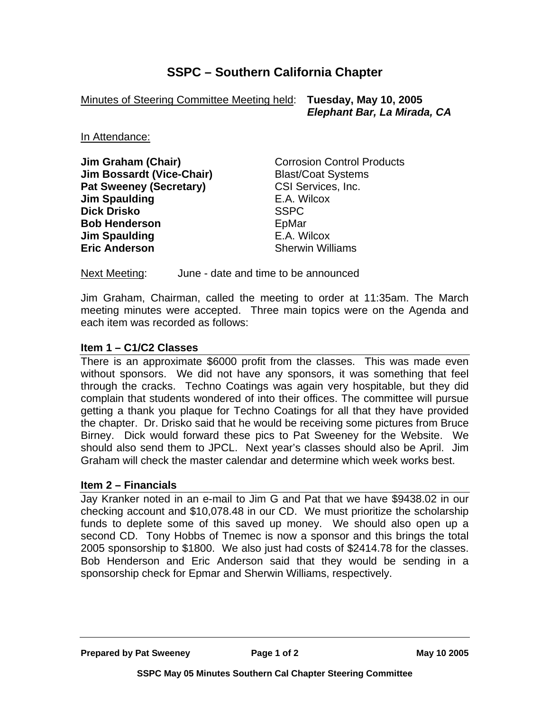# **SSPC – Southern California Chapter**

Minutes of Steering Committee Meeting held: **Tuesday, May 10, 2005**

 *Elephant Bar, La Mirada, CA* 

In Attendance:

**Jim Graham (Chair) Corrosion Control Products Jim Bossardt (Vice-Chair)** Blast/Coat Systems **Pat Sweeney (Secretary)** CSI Services, Inc. **Jim Spaulding** E.A. Wilcox **Dick Drisko** SSPC **Bob Henderson EpMar Jim Spaulding Community Community E.A. Wilcox Eric Anderson** Sherwin Williams

Next Meeting: June - date and time to be announced

Jim Graham, Chairman, called the meeting to order at 11:35am. The March meeting minutes were accepted. Three main topics were on the Agenda and each item was recorded as follows:

## **Item 1 – C1/C2 Classes**

There is an approximate \$6000 profit from the classes. This was made even without sponsors. We did not have any sponsors, it was something that feel through the cracks. Techno Coatings was again very hospitable, but they did complain that students wondered of into their offices. The committee will pursue getting a thank you plaque for Techno Coatings for all that they have provided the chapter. Dr. Drisko said that he would be receiving some pictures from Bruce Birney. Dick would forward these pics to Pat Sweeney for the Website. We should also send them to JPCL. Next year's classes should also be April. Jim Graham will check the master calendar and determine which week works best.

## **Item 2 – Financials**

Jay Kranker noted in an e-mail to Jim G and Pat that we have \$9438.02 in our checking account and \$10,078.48 in our CD. We must prioritize the scholarship funds to deplete some of this saved up money. We should also open up a second CD. Tony Hobbs of Tnemec is now a sponsor and this brings the total 2005 sponsorship to \$1800. We also just had costs of \$2414.78 for the classes. Bob Henderson and Eric Anderson said that they would be sending in a sponsorship check for Epmar and Sherwin Williams, respectively.

**Prepared by Pat Sweeney Page 1 of 2 May 10 2005**